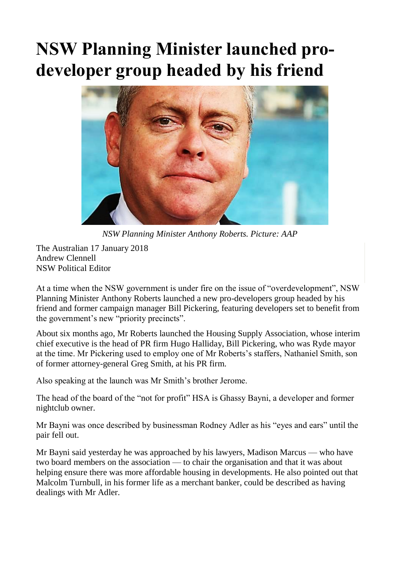## **NSW Planning Minister launched prodeveloper group headed by his friend**



*NSW Planning Minister Anthony Roberts. Picture: AAP*

The Australian 17 January 2018 Andrew Clennell NSW Political Editor

At a time when the NSW government is under fire on the issue of "overdevelopment", NSW Planning Minister Anthony Roberts launched a new pro-developers group headed by his friend and former campaign manager Bill Pickering, featuring developers set to benefit from the government's new "priority precincts".

About six months ago, Mr Roberts launched the Housing Supply Association, whose interim chief executive is the head of PR firm Hugo Halliday, Bill Pickering, who was Ryde mayor at the time. Mr Pickering used to employ one of Mr Roberts's staffers, Nathaniel Smith, son of former attorney-general Greg Smith, at his PR firm.

Also speaking at the launch was Mr Smith's brother Jerome.

The head of the board of the "not for profit" HSA is Ghassy Bayni, a developer and former nightclub owner.

Mr Bayni was once described by businessman Rodney Adler as his "eyes and ears" until the pair fell out.

Mr Bayni said yesterday he was approached by his lawyers, Madison Marcus — who have two board members on the association — to chair the organisation and that it was about helping ensure there was more affordable housing in developments. He also pointed out that Malcolm Turnbull, in his former life as a merchant banker, could be described as having dealings with Mr Adler.